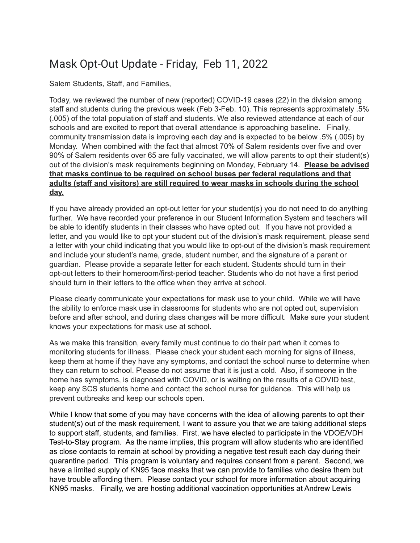## Mask Opt-Out Update - Friday, Feb 11, 2022

Salem Students, Staff, and Families,

Today, we reviewed the number of new (reported) COVID-19 cases (22) in the division among staff and students during the previous week (Feb 3-Feb. 10). This represents approximately .5% (.005) of the total population of staff and students. We also reviewed attendance at each of our schools and are excited to report that overall attendance is approaching baseline. Finally, community transmission data is improving each day and is expected to be below .5% (.005) by Monday. When combined with the fact that almost 70% of Salem residents over five and over 90% of Salem residents over 65 are fully vaccinated, we will allow parents to opt their student(s) out of the division's mask requirements beginning on Monday, February 14. **Please be advised that masks continue to be required on school buses per federal regulations and that adults (staff and visitors) are still required to wear masks in schools during the school day.**

If you have already provided an opt-out letter for your student(s) you do not need to do anything further. We have recorded your preference in our Student Information System and teachers will be able to identify students in their classes who have opted out. If you have not provided a letter, and you would like to opt your student out of the division's mask requirement, please send a letter with your child indicating that you would like to opt-out of the division's mask requirement and include your student's name, grade, student number, and the signature of a parent or guardian. Please provide a separate letter for each student. Students should turn in their opt-out letters to their homeroom/first-period teacher. Students who do not have a first period should turn in their letters to the office when they arrive at school.

Please clearly communicate your expectations for mask use to your child. While we will have the ability to enforce mask use in classrooms for students who are not opted out, supervision before and after school, and during class changes will be more difficult. Make sure your student knows your expectations for mask use at school.

As we make this transition, every family must continue to do their part when it comes to monitoring students for illness. Please check your student each morning for signs of illness, keep them at home if they have any symptoms, and contact the school nurse to determine when they can return to school. Please do not assume that it is just a cold. Also, if someone in the home has symptoms, is diagnosed with COVID, or is waiting on the results of a COVID test, keep any SCS students home and contact the school nurse for guidance. This will help us prevent outbreaks and keep our schools open.

While I know that some of you may have concerns with the idea of allowing parents to opt their student(s) out of the mask requirement, I want to assure you that we are taking additional steps to support staff, students, and families. First, we have elected to participate in the VDOE/VDH Test-to-Stay program. As the name implies, this program will allow students who are identified as close contacts to remain at school by providing a negative test result each day during their quarantine period. This program is voluntary and requires consent from a parent. Second, we have a limited supply of KN95 face masks that we can provide to families who desire them but have trouble affording them. Please contact your school for more information about acquiring KN95 masks. Finally, we are hosting additional vaccination opportunities at Andrew Lewis